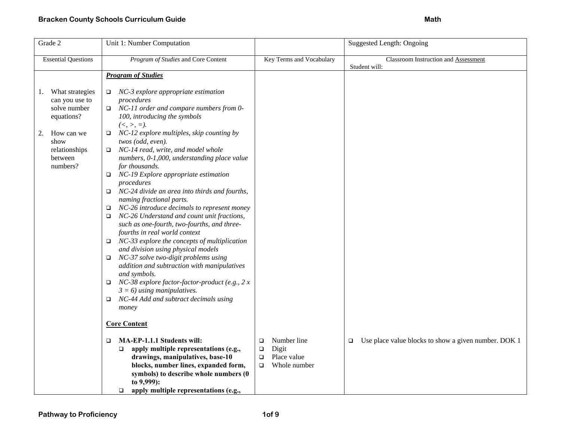| Grade 2                                                                                                                                   | Unit 1: Number Computation                                                                                                                                                                                                                                                                                                                                                                                                                                                                                                                                                                                                                                                                                                                                                                                                                                                                                                                                                                                                                                         |                                                                                             | <b>Suggested Length: Ongoing</b>                               |
|-------------------------------------------------------------------------------------------------------------------------------------------|--------------------------------------------------------------------------------------------------------------------------------------------------------------------------------------------------------------------------------------------------------------------------------------------------------------------------------------------------------------------------------------------------------------------------------------------------------------------------------------------------------------------------------------------------------------------------------------------------------------------------------------------------------------------------------------------------------------------------------------------------------------------------------------------------------------------------------------------------------------------------------------------------------------------------------------------------------------------------------------------------------------------------------------------------------------------|---------------------------------------------------------------------------------------------|----------------------------------------------------------------|
| <b>Essential Questions</b>                                                                                                                | Program of Studies and Core Content                                                                                                                                                                                                                                                                                                                                                                                                                                                                                                                                                                                                                                                                                                                                                                                                                                                                                                                                                                                                                                | Key Terms and Vocabulary                                                                    | Classroom Instruction and Assessment<br>Student will:          |
|                                                                                                                                           | <b>Program of Studies</b>                                                                                                                                                                                                                                                                                                                                                                                                                                                                                                                                                                                                                                                                                                                                                                                                                                                                                                                                                                                                                                          |                                                                                             |                                                                |
| What strategies<br>1.<br>can you use to<br>solve number<br>equations?<br>How can we<br>2.<br>show<br>relationships<br>between<br>numbers? | NC-3 explore appropriate estimation<br>$\Box$<br>procedures<br>NC-11 order and compare numbers from 0-<br>o.<br>100, introducing the symbols<br>$(<, >, =).$<br>$\Box$ NC-12 explore multiples, skip counting by<br>twos (odd, even).<br>NC-14 read, write, and model whole<br>$\Box$<br>numbers, 0-1,000, understanding place value<br>for thousands.<br>NC-19 Explore appropriate estimation<br>procedures<br>NC-24 divide an area into thirds and fourths,<br>$\Box$<br>naming fractional parts.<br>NC-26 introduce decimals to represent money<br>□<br>NC-26 Understand and count unit fractions,<br>$\Box$<br>such as one-fourth, two-fourths, and three-<br>fourths in real world context<br>NC-33 explore the concepts of multiplication<br>□<br>and division using physical models<br>NC-37 solve two-digit problems using<br>$\Box$<br>addition and subtraction with manipulatives<br>and symbols.<br>NC-38 explore factor-factor-product (e.g., $2 x$<br>$\Box$<br>$3 = 6$ ) using manipulatives.<br>NC-44 Add and subtract decimals using<br>□<br>money |                                                                                             |                                                                |
|                                                                                                                                           | <b>Core Content</b>                                                                                                                                                                                                                                                                                                                                                                                                                                                                                                                                                                                                                                                                                                                                                                                                                                                                                                                                                                                                                                                |                                                                                             |                                                                |
|                                                                                                                                           | MA-EP-1.1.1 Students will:<br>$\Box$<br>apply multiple representations (e.g.,<br>$\Box$<br>drawings, manipulatives, base-10<br>blocks, number lines, expanded form,<br>symbols) to describe whole numbers (0<br>to 9,999):<br>apply multiple representations (e.g.,<br>$\Box$                                                                                                                                                                                                                                                                                                                                                                                                                                                                                                                                                                                                                                                                                                                                                                                      | Number line<br>$\Box$<br>Digit<br>$\Box$<br>Place value<br>$\Box$<br>Whole number<br>$\Box$ | Use place value blocks to show a given number. DOK 1<br>$\Box$ |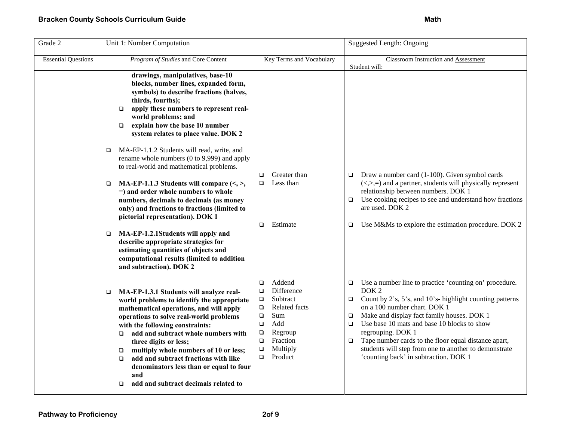| Grade 2                    | Unit 1: Number Computation                                                                                                                                                                                                                                                                                                                                                                                                                                                                                  |                                                                                                                                                                                                              | <b>Suggested Length: Ongoing</b>                                                                                                                                                                                                                                                                                                                                                                                                                                                                     |
|----------------------------|-------------------------------------------------------------------------------------------------------------------------------------------------------------------------------------------------------------------------------------------------------------------------------------------------------------------------------------------------------------------------------------------------------------------------------------------------------------------------------------------------------------|--------------------------------------------------------------------------------------------------------------------------------------------------------------------------------------------------------------|------------------------------------------------------------------------------------------------------------------------------------------------------------------------------------------------------------------------------------------------------------------------------------------------------------------------------------------------------------------------------------------------------------------------------------------------------------------------------------------------------|
| <b>Essential Questions</b> | Program of Studies and Core Content                                                                                                                                                                                                                                                                                                                                                                                                                                                                         | Key Terms and Vocabulary                                                                                                                                                                                     | Classroom Instruction and Assessment<br>Student will:                                                                                                                                                                                                                                                                                                                                                                                                                                                |
|                            | drawings, manipulatives, base-10<br>blocks, number lines, expanded form,<br>symbols) to describe fractions (halves,<br>thirds, fourths);<br>apply these numbers to represent real-<br>$\Box$<br>world problems; and<br>explain how the base 10 number<br>$\Box$<br>system relates to place value. DOK 2                                                                                                                                                                                                     |                                                                                                                                                                                                              |                                                                                                                                                                                                                                                                                                                                                                                                                                                                                                      |
|                            | MA-EP-1.1.2 Students will read, write, and<br>□<br>rename whole numbers (0 to 9,999) and apply<br>to real-world and mathematical problems.                                                                                                                                                                                                                                                                                                                                                                  |                                                                                                                                                                                                              |                                                                                                                                                                                                                                                                                                                                                                                                                                                                                                      |
|                            | MA-EP-1.1.3 Students will compare $(\leq, >)$<br>$\Box$<br>$=$ ) and order whole numbers to whole<br>numbers, decimals to decimals (as money<br>only) and fractions to fractions (limited to<br>pictorial representation). DOK 1                                                                                                                                                                                                                                                                            | Greater than<br>□<br>Less than<br>□<br>Estimate<br>$\Box$                                                                                                                                                    | Draw a number card (1-100). Given symbol cards<br>□<br>$(\le, >, =)$ and a partner, students will physically represent<br>relationship between numbers. DOK 1<br>Use cooking recipes to see and understand how fractions<br>$\Box$<br>are used. DOK 2                                                                                                                                                                                                                                                |
|                            | MA-EP-1.2.1Students will apply and<br>$\Box$<br>describe appropriate strategies for<br>estimating quantities of objects and<br>computational results (limited to addition<br>and subtraction). DOK 2                                                                                                                                                                                                                                                                                                        |                                                                                                                                                                                                              | Use M&Ms to explore the estimation procedure. DOK 2<br>$\Box$                                                                                                                                                                                                                                                                                                                                                                                                                                        |
|                            | MA-EP-1.3.1 Students will analyze real-<br>$\Box$<br>world problems to identify the appropriate<br>mathematical operations, and will apply<br>operations to solve real-world problems<br>with the following constraints:<br>add and subtract whole numbers with<br>$\Box$<br>three digits or less;<br>multiply whole numbers of 10 or less;<br>$\Box$<br>add and subtract fractions with like<br>$\Box$<br>denominators less than or equal to four<br>and<br>add and subtract decimals related to<br>$\Box$ | Addend<br>□<br>Difference<br>$\Box$<br>Subtract<br>$\Box$<br>Related facts<br>$\Box$<br>Sum<br>$\Box$<br>Add<br>$\Box$<br>Regroup<br>$\Box$<br>Fraction<br>$\Box$<br>Multiply<br>$\Box$<br>Product<br>$\Box$ | Use a number line to practice 'counting on' procedure.<br>$\Box$<br>DOK <sub>2</sub><br>Count by 2's, 5's, and 10's- highlight counting patterns<br>$\Box$<br>on a 100 number chart. DOK 1<br>Make and display fact family houses. DOK 1<br>$\Box$<br>Use base 10 mats and base 10 blocks to show<br>$\Box$<br>regrouping. DOK 1<br>Tape number cards to the floor equal distance apart,<br>$\Box$<br>students will step from one to another to demonstrate<br>'counting back' in subtraction. DOK 1 |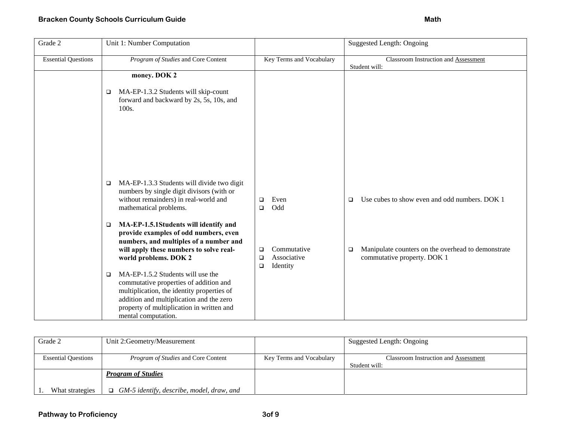| Grade 2                    | Unit 1: Number Computation                                                                                                                                                                                                                                                                                                                                                           |                                                                      | Suggested Length: Ongoing                                                                   |
|----------------------------|--------------------------------------------------------------------------------------------------------------------------------------------------------------------------------------------------------------------------------------------------------------------------------------------------------------------------------------------------------------------------------------|----------------------------------------------------------------------|---------------------------------------------------------------------------------------------|
| <b>Essential Questions</b> | Program of Studies and Core Content                                                                                                                                                                                                                                                                                                                                                  | Key Terms and Vocabulary                                             | Classroom Instruction and Assessment<br>Student will:                                       |
|                            | money. DOK 2                                                                                                                                                                                                                                                                                                                                                                         |                                                                      |                                                                                             |
|                            | MA-EP-1.3.2 Students will skip-count<br>$\Box$<br>forward and backward by 2s, 5s, 10s, and<br>100s.                                                                                                                                                                                                                                                                                  |                                                                      |                                                                                             |
|                            | MA-EP-1.3.3 Students will divide two digit<br>$\Box$<br>numbers by single digit divisors (with or<br>without remainders) in real-world and<br>mathematical problems.                                                                                                                                                                                                                 | Even<br>$\Box$<br>Odd<br>$\Box$                                      | Use cubes to show even and odd numbers. DOK 1<br>$\Box$                                     |
|                            | MA-EP-1.5.1Students will identify and<br>$\Box$<br>provide examples of odd numbers, even<br>numbers, and multiples of a number and<br>will apply these numbers to solve real-<br>world problems. DOK 2<br>MA-EP-1.5.2 Students will use the<br>□<br>commutative properties of addition and<br>multiplication, the identity properties of<br>addition and multiplication and the zero | Commutative<br>$\Box$<br>Associative<br>$\Box$<br>Identity<br>$\Box$ | Manipulate counters on the overhead to demonstrate<br>$\Box$<br>commutative property. DOK 1 |
|                            | property of multiplication in written and<br>mental computation.                                                                                                                                                                                                                                                                                                                     |                                                                      |                                                                                             |

| Grade 2                    | Unit 2:Geometry/Measurement                      |                          | Suggested Length: Ongoing                                    |
|----------------------------|--------------------------------------------------|--------------------------|--------------------------------------------------------------|
| <b>Essential Questions</b> | <i>Program of Studies</i> and Core Content       | Key Terms and Vocabulary | <b>Classroom Instruction and Assessment</b><br>Student will: |
|                            | <b>Program of Studies</b>                        |                          |                                                              |
| What strategies            | $\Box$ GM-5 identify, describe, model, draw, and |                          |                                                              |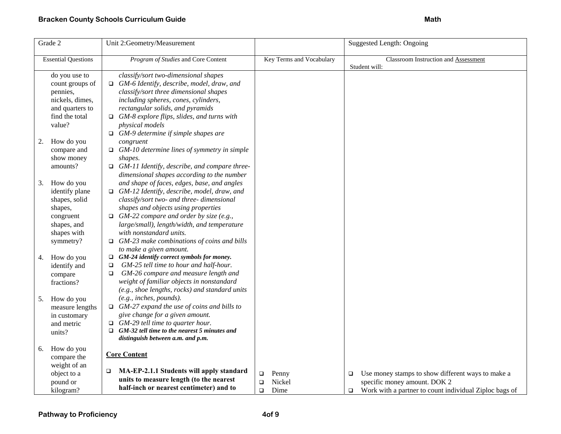| Program of Studies and Core Content<br>classify/sort two-dimensional shapes<br>$\Box$ GM-6 Identify, describe, model, draw, and<br>count groups of<br>classify/sort three dimensional shapes<br>including spheres, cones, cylinders,<br>rectangular solids, and pyramids<br>$\Box$ GM-8 explore flips, slides, and turns with<br>physical models<br>$\Box$ GM-9 determine if simple shapes are<br>congruent<br>$\Box$ GM-10 determine lines of symmetry in simple<br>shapes.<br>$\Box$ GM-11 Identify, describe, and compare three- | Key Terms and Vocabulary                                                                                                            | <b>Classroom Instruction and Assessment</b><br>Student will:                                                                                                    |
|-------------------------------------------------------------------------------------------------------------------------------------------------------------------------------------------------------------------------------------------------------------------------------------------------------------------------------------------------------------------------------------------------------------------------------------------------------------------------------------------------------------------------------------|-------------------------------------------------------------------------------------------------------------------------------------|-----------------------------------------------------------------------------------------------------------------------------------------------------------------|
|                                                                                                                                                                                                                                                                                                                                                                                                                                                                                                                                     |                                                                                                                                     |                                                                                                                                                                 |
|                                                                                                                                                                                                                                                                                                                                                                                                                                                                                                                                     |                                                                                                                                     |                                                                                                                                                                 |
|                                                                                                                                                                                                                                                                                                                                                                                                                                                                                                                                     |                                                                                                                                     |                                                                                                                                                                 |
| and shape of faces, edges, base, and angles<br>$\Box$ GM-12 Identify, describe, model, draw, and<br>classify/sort two- and three- dimensional<br>shapes and objects using properties<br>$\Box$ GM-22 compare and order by size (e.g.,<br>large/small), length/width, and temperature<br>with nonstandard units.<br>$\Box$ GM-23 make combinations of coins and bills                                                                                                                                                                |                                                                                                                                     |                                                                                                                                                                 |
| $\Box$ GM-24 identify correct symbols for money.<br>GM-25 tell time to hour and half-hour.<br>$\Box$<br>GM-26 compare and measure length and<br>□<br>weight of familiar objects in nonstandard<br>(e.g., shoe lengths, rocks) and standard units                                                                                                                                                                                                                                                                                    |                                                                                                                                     |                                                                                                                                                                 |
| (e.g., inches, pounds).<br>$\Box$ GM-27 expand the use of coins and bills to<br>give change for a given amount.<br>$\Box$ GM-29 tell time to quarter hour.<br>GM-32 tell time to the nearest 5 minutes and<br>$\Box$<br>distinguish between a.m. and p.m.                                                                                                                                                                                                                                                                           |                                                                                                                                     |                                                                                                                                                                 |
| <b>Core Content</b><br>MA-EP-2.1.1 Students will apply standard<br>$\Box$<br>units to measure length (to the nearest                                                                                                                                                                                                                                                                                                                                                                                                                | Penny<br>$\Box$<br>Nickel<br>$\Box$                                                                                                 | Use money stamps to show different ways to make a<br>$\Box$<br>specific money amount. DOK 2<br>Work with a partner to count individual Ziploc bags of<br>$\Box$ |
|                                                                                                                                                                                                                                                                                                                                                                                                                                                                                                                                     | dimensional shapes according to the number<br>to make a given amount.<br>measure lengths<br>half-inch or nearest centimeter) and to | Dime<br>$\Box$                                                                                                                                                  |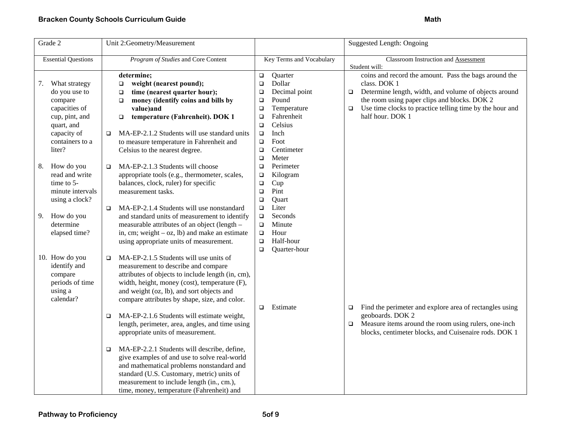| Grade 2                              | Unit 2:Geometry/Measurement                                                 |                                    | <b>Suggested Length: Ongoing</b>                                                      |
|--------------------------------------|-----------------------------------------------------------------------------|------------------------------------|---------------------------------------------------------------------------------------|
| <b>Essential Questions</b>           | Program of Studies and Core Content                                         | Key Terms and Vocabulary           | Classroom Instruction and Assessment<br>Student will:                                 |
|                                      | determine;                                                                  | Quarter<br>$\Box$<br>Dollar<br>o   | coins and record the amount. Pass the bags around the<br>class. DOK 1                 |
| 7.<br>What strategy<br>do you use to | weight (nearest pound);<br>$\Box$<br>time (nearest quarter hour);<br>$\Box$ | Decimal point<br>$\Box$            | Determine length, width, and volume of objects around<br>$\Box$                       |
| compare                              | money (identify coins and bills by<br>$\Box$                                | Pound<br>$\Box$                    | the room using paper clips and blocks. DOK 2                                          |
| capacities of                        | value)and                                                                   | Temperature<br>$\Box$              | Use time clocks to practice telling time by the hour and<br>$\Box$                    |
| cup, pint, and                       | temperature (Fahrenheit). DOK 1<br>$\Box$                                   | Fahrenheit<br>$\Box$               | half hour. DOK 1                                                                      |
| quart, and                           |                                                                             | Celsius<br>$\Box$                  |                                                                                       |
| capacity of                          | MA-EP-2.1.2 Students will use standard units<br>$\Box$                      | Inch<br>$\Box$                     |                                                                                       |
| containers to a                      | to measure temperature in Fahrenheit and                                    | Foot<br>$\Box$                     |                                                                                       |
| liter?                               | Celsius to the nearest degree.                                              | Centimeter<br>$\Box$               |                                                                                       |
|                                      |                                                                             | Meter<br>$\Box$                    |                                                                                       |
| How do you<br>8.                     | MA-EP-2.1.3 Students will choose<br>o.                                      | Perimeter<br>$\Box$                |                                                                                       |
| read and write                       | appropriate tools (e.g., thermometer, scales,                               | Kilogram<br>$\Box$                 |                                                                                       |
| time to $5-$                         | balances, clock, ruler) for specific                                        | Cup<br>$\Box$                      |                                                                                       |
| minute intervals                     | measurement tasks.                                                          | Pint<br>$\Box$                     |                                                                                       |
| using a clock?                       | MA-EP-2.1.4 Students will use nonstandard                                   | Quart<br>$\Box$<br>Liter<br>$\Box$ |                                                                                       |
| How do you<br>9.                     | □<br>and standard units of measurement to identify                          | Seconds<br>$\Box$                  |                                                                                       |
| determine                            | measurable attributes of an object (length -                                | Minute<br>$\Box$                   |                                                                                       |
| elapsed time?                        | in, cm; weight $-$ oz, lb) and make an estimate                             | Hour<br>$\Box$                     |                                                                                       |
|                                      | using appropriate units of measurement.                                     | Half-hour<br>$\Box$                |                                                                                       |
|                                      |                                                                             | Quarter-hour<br>$\Box$             |                                                                                       |
| 10. How do you                       | MA-EP-2.1.5 Students will use units of<br>$\Box$                            |                                    |                                                                                       |
| identify and                         | measurement to describe and compare                                         |                                    |                                                                                       |
| compare                              | attributes of objects to include length (in, cm),                           |                                    |                                                                                       |
| periods of time                      | width, height, money (cost), temperature (F),                               |                                    |                                                                                       |
| using a                              | and weight (oz, lb), and sort objects and                                   |                                    |                                                                                       |
| calendar?                            | compare attributes by shape, size, and color.                               |                                    |                                                                                       |
|                                      | MA-EP-2.1.6 Students will estimate weight,                                  | Estimate<br>$\Box$                 | Find the perimeter and explore area of rectangles using<br>$\Box$<br>geoboards. DOK 2 |
|                                      | $\Box$<br>length, perimeter, area, angles, and time using                   |                                    | Measure items around the room using rulers, one-inch<br>$\Box$                        |
|                                      | appropriate units of measurement.                                           |                                    | blocks, centimeter blocks, and Cuisenaire rods. DOK 1                                 |
|                                      |                                                                             |                                    |                                                                                       |
|                                      | MA-EP-2.2.1 Students will describe, define,<br>□                            |                                    |                                                                                       |
|                                      | give examples of and use to solve real-world                                |                                    |                                                                                       |
|                                      | and mathematical problems nonstandard and                                   |                                    |                                                                                       |
|                                      | standard (U.S. Customary, metric) units of                                  |                                    |                                                                                       |
|                                      | measurement to include length (in., cm.),                                   |                                    |                                                                                       |
|                                      | time, money, temperature (Fahrenheit) and                                   |                                    |                                                                                       |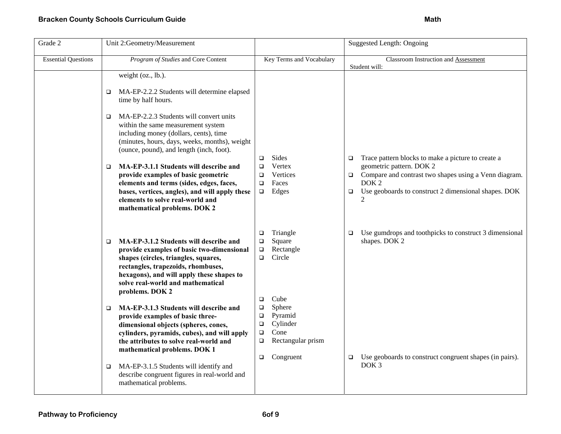| Grade 2                    | Unit 2:Geometry/Measurement                                                                                                                                                                                                                                                 |                                                                                                                      | <b>Suggested Length: Ongoing</b>                                                            |
|----------------------------|-----------------------------------------------------------------------------------------------------------------------------------------------------------------------------------------------------------------------------------------------------------------------------|----------------------------------------------------------------------------------------------------------------------|---------------------------------------------------------------------------------------------|
| <b>Essential Questions</b> | Program of Studies and Core Content                                                                                                                                                                                                                                         | Key Terms and Vocabulary                                                                                             | Classroom Instruction and Assessment<br>Student will:                                       |
|                            | weight (oz., lb.).                                                                                                                                                                                                                                                          |                                                                                                                      |                                                                                             |
|                            | MA-EP-2.2.2 Students will determine elapsed<br>□<br>time by half hours.                                                                                                                                                                                                     |                                                                                                                      |                                                                                             |
|                            | MA-EP-2.2.3 Students will convert units<br>□<br>within the same measurement system<br>including money (dollars, cents), time<br>(minutes, hours, days, weeks, months), weight<br>(ounce, pound), and length (inch, foot).                                                   | Sides<br>$\Box$                                                                                                      | Trace pattern blocks to make a picture to create a<br>$\Box$                                |
|                            | MA-EP-3.1.1 Students will describe and<br>$\Box$<br>provide examples of basic geometric                                                                                                                                                                                     | Vertex<br>$\Box$<br>Vertices<br>❏                                                                                    | geometric pattern. DOK 2<br>Compare and contrast two shapes using a Venn diagram.<br>$\Box$ |
|                            | elements and terms (sides, edges, faces,                                                                                                                                                                                                                                    | Faces<br>□                                                                                                           | DOK <sub>2</sub>                                                                            |
|                            | bases, vertices, angles), and will apply these<br>elements to solve real-world and<br>mathematical problems. DOK 2                                                                                                                                                          | Edges<br>$\Box$                                                                                                      | Use geoboards to construct 2 dimensional shapes. DOK<br>$\Box$<br>$\overline{2}$            |
|                            | MA-EP-3.1.2 Students will describe and<br>□<br>provide examples of basic two-dimensional<br>shapes (circles, triangles, squares,<br>rectangles, trapezoids, rhombuses,<br>hexagons), and will apply these shapes to<br>solve real-world and mathematical<br>problems. DOK 2 | Triangle<br>$\Box$<br>Square<br>$\Box$<br>Rectangle<br>$\Box$<br>Circle<br>$\Box$                                    | Use gumdrops and toothpicks to construct 3 dimensional<br>□<br>shapes. DOK 2                |
|                            | MA-EP-3.1.3 Students will describe and<br>□<br>provide examples of basic three-<br>dimensional objects (spheres, cones,<br>cylinders, pyramids, cubes), and will apply<br>the attributes to solve real-world and<br>mathematical problems. DOK 1                            | Cube<br>□<br>Sphere<br>❏<br>Pyramid<br>$\Box$<br>Cylinder<br>$\Box$<br>Cone<br>$\Box$<br>Rectangular prism<br>$\Box$ |                                                                                             |
|                            | MA-EP-3.1.5 Students will identify and<br>$\Box$<br>describe congruent figures in real-world and<br>mathematical problems.                                                                                                                                                  | Congruent<br>$\Box$                                                                                                  | Use geoboards to construct congruent shapes (in pairs).<br>$\Box$<br>DOK <sub>3</sub>       |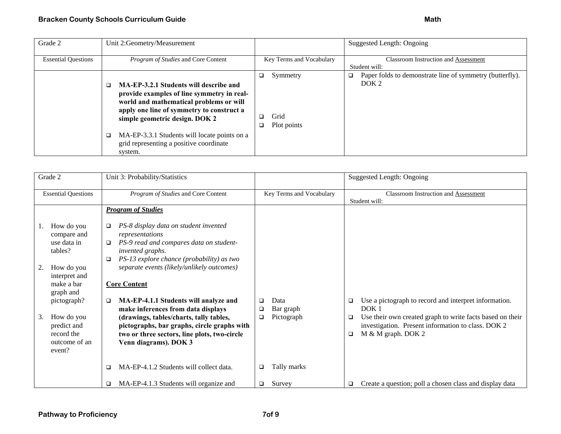| Grade 2                    | Unit 2:Geometry/Measurement                                                                                                                                                                                                                                                                                               |                                      | Suggested Length: Ongoing                                                         |
|----------------------------|---------------------------------------------------------------------------------------------------------------------------------------------------------------------------------------------------------------------------------------------------------------------------------------------------------------------------|--------------------------------------|-----------------------------------------------------------------------------------|
| <b>Essential Questions</b> | <i>Program of Studies</i> and Core Content                                                                                                                                                                                                                                                                                | Key Terms and Vocabulary             | <b>Classroom Instruction and Assessment</b><br>Student will:                      |
|                            | MA-EP-3.2.1 Students will describe and<br>provide examples of line symmetry in real-<br>world and mathematical problems or will<br>apply one line of symmetry to construct a<br>simple geometric design. DOK 2<br>MA-EP-3.3.1 Students will locate points on a<br>o<br>grid representing a positive coordinate<br>system. | Symmetry<br>❏<br>Grid<br>Plot points | Paper folds to demonstrate line of symmetry (butterfly).<br>▫<br>DOK <sub>2</sub> |

|    | Grade 2                                                            | Unit 3: Probability/Statistics                                                                                                                                                      |                             | <b>Suggested Length: Ongoing</b>                                                                                                                     |
|----|--------------------------------------------------------------------|-------------------------------------------------------------------------------------------------------------------------------------------------------------------------------------|-----------------------------|------------------------------------------------------------------------------------------------------------------------------------------------------|
|    | <b>Essential Questions</b>                                         | Program of Studies and Core Content                                                                                                                                                 | Key Terms and Vocabulary    | Classroom Instruction and Assessment<br>Student will:                                                                                                |
|    |                                                                    | <b>Program of Studies</b>                                                                                                                                                           |                             |                                                                                                                                                      |
|    | How do you<br>compare and<br>use data in<br>tables?                | PS-8 display data on student invented<br>□<br>representations<br>PS-9 read and compares data on student-<br>□<br>invented graphs.<br>PS-13 explore chance (probability) as two<br>□ |                             |                                                                                                                                                      |
| 2. | How do you<br>interpret and<br>make a bar                          | separate events (likely/unlikely outcomes)<br><b>Core Content</b>                                                                                                                   |                             |                                                                                                                                                      |
|    | graph and<br>pictograph?                                           | MA-EP-4.1.1 Students will analyze and<br>□<br>make inferences from data displays                                                                                                    | Data<br>□<br>Bar graph<br>□ | Use a pictograph to record and interpret information.<br>□<br>DOK <sub>1</sub>                                                                       |
| 3. | How do you<br>predict and<br>record the<br>outcome of an<br>event? | (drawings, tables/charts, tally tables,<br>pictographs, bar graphs, circle graphs with<br>two or three sectors, line plots, two-circle<br>Venn diagrams). DOK 3                     | Pictograph<br>$\Box$        | Use their own created graph to write facts based on their<br>□<br>investigation. Present information to class. DOK 2<br>M & M graph. DOK 2<br>$\Box$ |
|    |                                                                    | MA-EP-4.1.2 Students will collect data.<br>□                                                                                                                                        | Tally marks<br>$\Box$       |                                                                                                                                                      |
|    |                                                                    | MA-EP-4.1.3 Students will organize and<br>□                                                                                                                                         | Survey<br>□                 | Create a question; poll a chosen class and display data                                                                                              |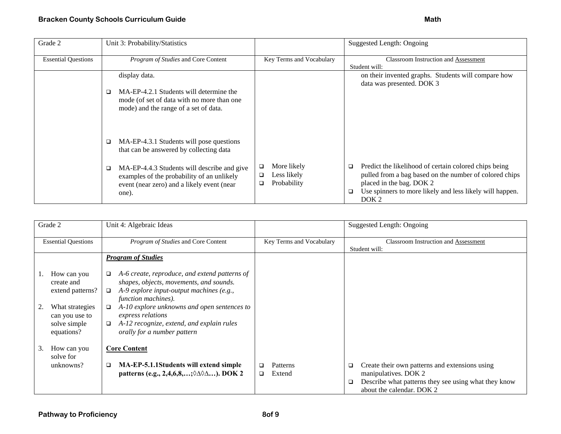| Grade 2                    | Unit 3: Probability/Statistics                                                                                                                             |                                                     | Suggested Length: Ongoing                                                                                                                                                                                                                  |
|----------------------------|------------------------------------------------------------------------------------------------------------------------------------------------------------|-----------------------------------------------------|--------------------------------------------------------------------------------------------------------------------------------------------------------------------------------------------------------------------------------------------|
| <b>Essential Questions</b> | Program of Studies and Core Content                                                                                                                        | Key Terms and Vocabulary                            | <b>Classroom Instruction and Assessment</b><br>Student will:                                                                                                                                                                               |
|                            | display data.<br>MA-EP-4.2.1 Students will determine the<br>□<br>mode (of set of data with no more than one<br>mode) and the range of a set of data.       |                                                     | on their invented graphs. Students will compare how<br>data was presented. DOK 3                                                                                                                                                           |
|                            | MA-EP-4.3.1 Students will pose questions<br>□<br>that can be answered by collecting data                                                                   |                                                     |                                                                                                                                                                                                                                            |
|                            | MA-EP-4.4.3 Students will describe and give<br>$\Box$<br>examples of the probability of an unlikely<br>event (near zero) and a likely event (near<br>one). | More likely<br>❏<br>Less likely<br>◻<br>Probability | Predict the likelihood of certain colored chips being<br>$\Box$<br>pulled from a bag based on the number of colored chips<br>placed in the bag. DOK 2<br>Use spinners to more likely and less likely will happen.<br>□<br>DOK <sub>2</sub> |

|    | Grade 2                    | Unit 4: Algebraic Ideas                                                    |                          | Suggested Length: Ongoing                                 |
|----|----------------------------|----------------------------------------------------------------------------|--------------------------|-----------------------------------------------------------|
|    |                            |                                                                            |                          |                                                           |
|    | <b>Essential Questions</b> | Program of Studies and Core Content                                        | Key Terms and Vocabulary | <b>Classroom Instruction and Assessment</b>               |
|    |                            |                                                                            |                          | Student will:                                             |
|    |                            | <b>Program of Studies</b>                                                  |                          |                                                           |
|    |                            |                                                                            |                          |                                                           |
|    | How can you                | A-6 create, reproduce, and extend patterns of<br>$\Box$                    |                          |                                                           |
|    | create and                 | shapes, objects, movements, and sounds.                                    |                          |                                                           |
|    |                            |                                                                            |                          |                                                           |
|    | extend patterns?           | A-9 explore input-output machines (e.g.,<br>$\Box$                         |                          |                                                           |
|    |                            | function machines).                                                        |                          |                                                           |
|    | What strategies            | A-10 explore unknowns and open sentences to<br>$\Box$                      |                          |                                                           |
|    | can you use to             | express relations                                                          |                          |                                                           |
|    | solve simple               | A-12 recognize, extend, and explain rules<br>$\Box$                        |                          |                                                           |
|    | equations?                 | orally for a number pattern                                                |                          |                                                           |
|    |                            |                                                                            |                          |                                                           |
| 3. |                            | <b>Core Content</b>                                                        |                          |                                                           |
|    | How can you                |                                                                            |                          |                                                           |
|    | solve for                  |                                                                            |                          |                                                           |
|    | unknowns?                  | MA-EP-5.1.1Students will extend simple<br>□                                | Patterns                 | Create their own patterns and extensions using<br>❏       |
|    |                            | patterns (e.g., 2,4,6,8,; $\Diamond \triangle \Diamond \triangle$ ). DOK 2 | Extend<br>□              | manipulatives. DOK 2                                      |
|    |                            |                                                                            |                          | Describe what patterns they see using what they know<br>□ |
|    |                            |                                                                            |                          | about the calendar. DOK 2                                 |